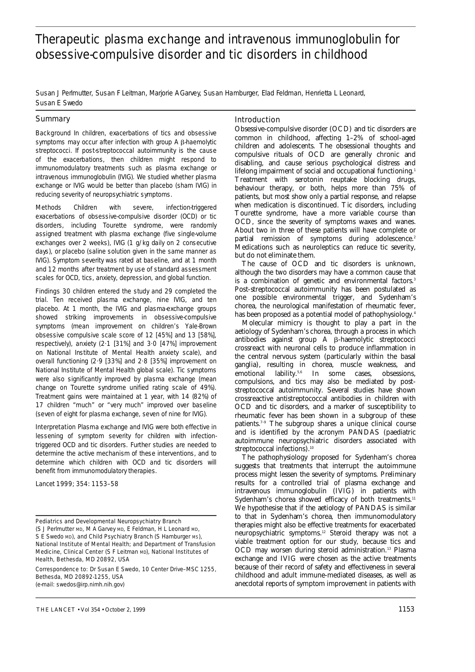# Therapeutic plasma exchange and intravenous immunoglobulin for obsessive-compulsive disorder and tic disorders in childhood

*Susan J Perlmutter, Susan F Leitman, Marjorie A Garvey, Susan Hamburger, Elad Feldman, Henrietta L Leonard, Susan E Swedo*

## **Summary**

Background In children, exacerbations of tics and obsessive symptoms may occur after infection with group  $A$   $B$ -haemolytic streptococci. If post-streptococcal autoimmunity is the cause of the exacerbations, then children might respond to immunomodulatory treatments such as plasma exchange or intravenous immunoglobulin (IVIG). We studied whether plasma exchange or IVIG would be better than placebo (sham IVIG) in reducing severity of neuropsychiatric symptoms.

Methods Children with severe, infection-triggered exacerbations of obsessive-compulsive disorder (OCD) or tic disorders, including Tourette syndrome, were randomly assigned treatment with plasma exchange (five single-volume exchanges over 2 weeks), IVIG (1 g/kg daily on 2 consecutive days), or placebo (saline solution given in the same manner as IVIG). Symptom severity was rated at baseline, and at 1 month and 12 months after treatment by use of standard assessment scales for OCD, tics, anxiety, depression, and global function.

Findings 30 children entered the study and 29 completed the trial. Ten received plasma exchange, nine IVIG, and ten placebo. At 1 month, the IVIG and plasma-exchange groups showed striking improvements in obsessive-compulsive symptoms (mean improvement on children's Yale-Brown obsessive compulsive scale score of 12 [45%] and 13 [58%], respectively), anxiety (2·1 [31%] and 3·0 [47%] improvement on National Institute of Mental Health anxiety scale), and overall functioning (2·9 [33%] and 2·8 [35%] improvement on National Institute of Mental Health global scale). Tic symptoms were also significantly improved by plasma exchange (mean change on Tourette syndrome unified rating scale of 49%). Treatment gains were maintained at 1 year, with 14 (82%) of 17 children "much" or "very much" improved over baseline (seven of eight for plasma exchange, seven of nine for IVIG).

Interpretation Plasma exchange and IVIG were both effective in lessening of symptom severity for children with infectiontriggered OCD and tic disorders. Further studies are needed to determine the active mechanism of these interventions, and to determine which children with OCD and tic disorders will benefit from immunomodulatory therapies.

Lancet 1999; 354: 1153-58

Pediatrics and Developmental Neuropsychiatry Branch

(S J Perlmutter MD, M A Garvey MD, E Feldman, H L Leonard MD, S E Swedo MD), and Child Psychiatry Branch (S Hamburger MS), National Institute of Mental Health; and Department of Transfusion Medicine, Clinical Center (S F Leitman MD), National Institutes of Health, Bethesda, MD 20892, USA

Correspondence to: Dr Susan E Swedo, 10 Center Drive–MSC 1255, Bethesda, MD 20892-1255, USA (e-mail: swedos@irp.nimh.nih.gov)

# **Introduction**

Obsessive-compulsive disorder (OCD) and tic disorders are common in childhood, affecting 1–2% of school-aged children and adolescents. The obsessional thoughts and compulsive rituals of OCD are generally chronic and disabling, and cause serious psychological distress and lifelong impairment of social and occupational functioning.<sup>1</sup> Treatment with serotonin reuptake blocking drugs, behaviour therapy, or both, helps more than 75% of patients, but most show only a partial response, and relapse when medication is discontinued. Tic disorders, including Tourette syndrome, have a more variable course than OCD, since the severity of symptoms waxes and wanes. About two in three of these patients will have complete or partial remission of symptoms during adolescence.<sup>2</sup> Medications such as neuroleptics can reduce tic severity, but do not eliminate them.

The cause of OCD and tic disorders is unknown, although the two disorders may have a common cause that is a combination of genetic and environmental factors.<sup>3</sup> Post-streptococcal autoimmunity has been postulated as one possible environmental trigger, and Sydenham's chorea, the neurological manifestation of rheumatic fever, has been proposed as a potential model of pathophysiology.<sup>4</sup>

Molecular mimicry is thought to play a part in the aetiology of Sydenham's chorea, through a process in which antibodies against group  $A$   $\beta$ -haemolytic streptococci crossreact with neuronal cells to produce inflammation in the central nervous system (particularly within the basal ganglia), resulting in chorea, muscle weakness, and emotional lability.<sup>5,6</sup> In some cases, obsessions, compulsions, and tics may also be mediated by poststreptococcal autoimmunity. Several studies have shown crossreactive antistreptococcal antibodies in children with OCD and tic disorders, and a marker of susceptibility to rheumatic fever has been shown in a subgroup of these patients.<sup>7-9</sup> The subgroup shares a unique clinical course and is identified by the acronym PANDAS (paediatric autoimmune neuropsychiatric disorders associated with streptococcal infections).<sup>10</sup>

The pathophysiology proposed for Sydenham's chorea suggests that treatments that interrupt the autoimmune process might lessen the severity of symptoms. Preliminary results for a controlled trial of plasma exchange and intravenous immunoglobulin (IVIG) in patients with Sydenham's chorea showed efficacy of both treatments.<sup>11</sup> We hypothesise that if the aetiology of PANDAS is similar to that in Sydenham's chorea, then immunomodulatory therapies might also be effective treatments for exacerbated neuropsychiatric symptoms.<sup>12</sup> Steroid therapy was not a viable treatment option for our study, because tics and OCD may worsen during steroid administration.<sup>13</sup> Plasma exchange and IVIG were chosen as the active treatments because of their record of safety and effectiveness in several childhood and adult immune-mediated diseases, as well as anecdotal reports of symptom improvement in patients with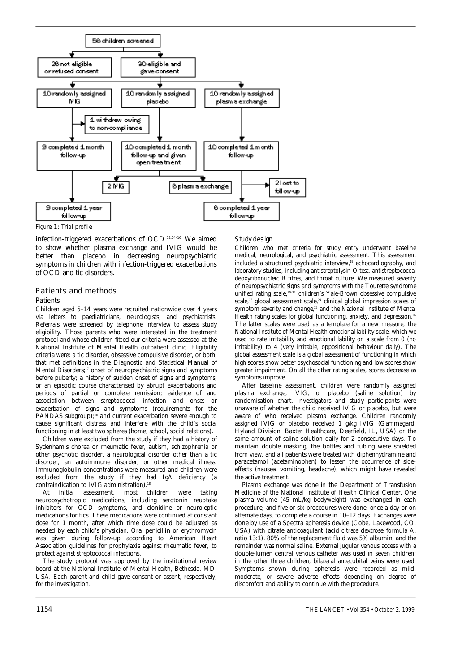

Figure 1: Trial profile

infection-triggered exacerbations of OCD.<sup>12,14-16</sup> We aimed to show whether plasma exchange and IVIG would be better than placebo in decreasing neuropsychiatric symptoms in children with infection-triggered exacerbations of OCD and tic disorders.

## Patients and methods

## *Patients*

Children aged 5–14 years were recruited nationwide over 4 years via letters to paediatricians, neurologists, and psychiatrists. Referrals were screened by telephone interview to assess study eligibility. Those parents who were interested in the treatment protocol and whose children fitted our criteria were assessed at the National Institute of Mental Health outpatient clinic. Eligibility criteria were: a tic disorder, obsessive compulsive disorder, or both, that met definitions in the Diagnostic and Statistical Manual of Mental Disorders;<sup>17</sup> onset of neuropsychiatric signs and symptoms before puberty; a history of sudden onset of signs and symptoms, or an episodic course characterised by abrupt exacerbations and periods of partial or complete remission; evidence of and association between streptococcal infection and onset or exacerbation of signs and symptoms (requirements for the PANDAS subgroup);<sup>10</sup> and current exacerbation severe enough to cause significant distress and interfere with the child's social functioning in at least two spheres (home, school, social relations).

Children were excluded from the study if they had a history of Sydenham's chorea or rheumatic fever, autism, schizophrenia or other psychotic disorder, a neurological disorder other than a tic disorder, an autoimmune disorder, or other medical illness. Immunoglobulin concentrations were measured and children were excluded from the study if they had IgA deficiency (a contraindication to IVIG administration).<sup>18</sup>

At initial assessment, most children were taking neuropsychotropic medications, including serotonin reuptake inhibitors for OCD symptoms, and clonidine or neuroleptic medications for tics. These medications were continued at constant dose for 1 month, after which time dose could be adjusted as needed by each child's physician. Oral penicillin or erythromycin was given during follow-up according to American Heart Association guidelines for prophylaxis against rheumatic fever, to protect against streptococcal infections.

The study protocol was approved by the institutional review board at the National Institute of Mental Health, Bethesda, MD, USA. Each parent and child gave consent or assent, respectively, for the investigation.

## *Study design*

Children who met criteria for study entry underwent baseline medical, neurological, and psychiatric assessment. This assessment included a structured psychiatric interview,<sup>19</sup> echocardiography, and laboratory studies, including antistreptolysin-O test, antistreptococcal deoxyribonucleic B titres, and throat culture. We measured severity of neuropsychiatric signs and symptoms with the Tourette syndrome unified rating scale,  $20-22$  children's Yale-Brown obsessive compulsive scale,<sup>23</sup> global assessment scale,<sup>24</sup> clinical global impression scales of symptom severity and change,<sup>25</sup> and the National Institute of Mental Health rating scales for global functioning, anxiety, and depression.<sup>26</sup> The latter scales were used as a template for a new measure, the National Institute of Mental Health emotional lability scale, which we used to rate irritability and emotional lability on a scale from 0 (no irritability) to 4 (very irritable, oppositional behaviour daily). The global assessment scale is a global assessment of functioning in which high scores show better psychosocial functioning and low scores show greater impairment. On all the other rating scales, scores decrease as symptoms improve.

After baseline assessment, children were randomly assigned plasma exchange, IVIG, or placebo (saline solution) by randomisation chart. Investigators and study participants were unaware of whether the child received IVIG or placebo, but were aware of who received plasma exchange. Children randomly assigned IVIG or placebo received 1 g/kg IVIG (Gammagard, Hyland Division, Baxter Healthcare, Deerfield, IL, USA) or the same amount of saline solution daily for 2 consecutive days. To maintain double masking, the bottles and tubing were shielded from view, and all patients were treated with diphenhydramine and paracetamol (acetaminophen) to lessen the occurrence of sideeffects (nausea, vomiting, headache), which might have revealed the active treatment.

Plasma exchange was done in the Department of Transfusion Medicine of the National Institute of Health Clinical Center. One plasma volume (45 mL/kg bodyweight) was exchanged in each procedure, and five or six procedures were done, once a day or on alternate days, to complete a course in 10–12 days. Exchanges were done by use of a Spectra apheresis device (Cobe, Lakewood, CO, USA) with citrate anticoagulant (acid citrate dextrose formula A, ratio 13:1). 80% of the replacement fluid was 5% albumin, and the remainder was normal saline. External jugular venous access with a double-lumen central venous catheter was used in seven children; in the other three children, bilateral antecubital veins were used. Symptoms shown during apheresis were recorded as mild, moderate, or severe adverse effects depending on degree of discomfort and ability to continue with the procedure.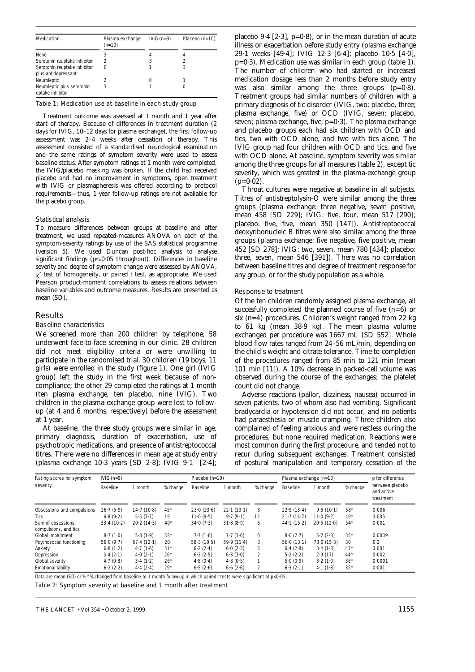| <b>Medication</b>                                   | Plasma exchange<br>$(n=10)$ | $IVIG(n=9)$ | Placebo (n=10) |  |  |
|-----------------------------------------------------|-----------------------------|-------------|----------------|--|--|
| <b>None</b>                                         | 3                           |             | 4              |  |  |
| Serotonin reuptake inhibitor                        | 2                           |             |                |  |  |
| Serotonin reuptake inhibitor<br>plus antidepressant | 0                           |             |                |  |  |
| Neuroleptic                                         |                             |             |                |  |  |
| Neuroleptic plus serotonin<br>uptake inhibitor      | 3                           |             |                |  |  |

Table 1: Medication use at baseline in each study group

Treatment outcome was assessed at 1 month and 1 year after start of therapy. Because of differences in treatment duration (2 days for IVIG, 10–12 days for plasma exchange), the first follow-up assessment was 2–4 weeks after cessation of therapy. This assessment consisted of a standardised neurological examination and the same ratings of symptom severity were used to assess baseline status. After symptom ratings at 1 month were completed, the IVIG/placebo masking was broken. If the child had received placebo and had no improvement in symptoms, open treatment with IVIG or plasmapheresis was offered according to protocol requirements—thus, 1-year follow-up ratings are not available for the placebo group.

#### *Statistical analysis*

To measure differences between groups at baseline and after treatment, we used repeated-measures ANOVA on each of the symptom-severity ratings by use of the SAS statistical programme (version 5). We used Duncan post-hoc analysis to analyse significant findings ( $p \le 0.05$  throughout). Differences in baseline severity and degree of symptom change were assessed by ANOVA,  $\chi^2$  test of homogeneity, or paired *t* test, as appropriate. We used Pearson product-moment correlations to assess relations between baseline variables and outcome measures. Results are presented as mean (SD).

## **Results**

#### *Baseline characteristics*

We screened more than 200 children by telephone; 58 underwent face-to-face screening in our clinic. 28 children did not meet eligibility criteria or were unwilling to participate in the randomised trial. 30 children (19 boys, 11 girls) were enrolled in the study (figure 1). One girl (IVIG group) left the study in the first week because of noncompliance; the other 29 completed the ratings at 1 month (ten plasma exchange, ten placebo, nine IVIG). Two children in the plasma-exchange group were lost to followup (at 4 and 6 months, respectively) before the assessment at 1 year.

At baseline, the three study groups were similar in age, primary diagnosis, duration of exacerbation, use of psychotropic medications, and presence of antistreptococcal titres. There were no differences in mean age at study entry (plasma exchange 10·3 years [SD 2·8]; IVIG 9·1 [2·4];

placebo 9.4  $[2.3]$ ,  $p=0.8$ ), or in the mean duration of acute illness or exacerbation before study entry (plasma exchange 29·1 weeks [49·4]; IVIG 12·3 [6·4]; placebo 10·5 [4·0], p=0·3). Medication use was similar in each group (table 1). The number of children who had started or increased medication dosage less than 2 months before study entry was also similar among the three groups (p=0·8). Treatment groups had similar numbers of children with a primary diagnosis of tic disorder (IVIG, two; placebo, three; plasma exchange, five) or OCD (IVIG, seven; placebo, seven; plasma exchange, five; p=0·3). The plasma exchange and placebo groups each had six children with OCD and tics, two with OCD alone, and two with tics alone. The IVIG group had four children with OCD and tics, and five with OCD alone. At baseline, symptom severity was similar among the three groups for all measures (table 2), except tic severity, which was greatest in the plasma-exchange group  $(p=0.02)$ .

Throat cultures were negative at baseline in all subjects. Titres of antistreptolysin-O were similar among the three groups (plasma exchange: three negative, seven positive, mean 458 [SD 229]; IVIG: five, four, mean 517 [290]; placebo: five, five, mean 350 [147]). Antistreptococcal deoxyribonucleic B titres were also similar among the three groups (plasma exchange: five negative, five positive, mean 452 [SD 278]; IVIG: two, seven, mean 780 [434]; placebo: three, seven, mean 546 [391]). There was no correlation between baseline titres and degree of treatment response for any group, or for the study population as a whole.

## *Response to treatment*

Of the ten children randomly assigned plasma exchange, all succesfully completed the planned course of five (n=6) or six (n=4) procedures. Children's weight ranged from 22 kg to 61 kg (mean 38·9 kg). The mean plasma volume exchanged per procedure was 1667 mL [SD 552]. Whole blood flow rates ranged from 24–56 mL/min, depending on the child's weight and citrate tolerance. Time to completion of the procedures ranged from 85 min to 121 min (mean 101 min [11]). A 10% decrease in packed-cell volume was observed during the course of the exchanges; the platelet count did not change.

Adverse reactions (pallor, dizziness, nausea) occurred in seven patients, two of whom also had vomiting. Significant bradycardia or hypotension did not occur, and no patients had paraesthesia or muscle cramping. Three children also complained of feeling anxious and were restless during the procedures, but none required medication. Reactions were most common during the first procedure, and tended not to recur during subsequent exchanges. Treatment consisted of postural manipulation and temporary cessation of the

| Rating scores for symptom<br>severity       | $IVIG(n=9)$ |            |          | Placebo (n=10) |            |                | Plasma exchange (n=10) |            |          | p for difference                           |
|---------------------------------------------|-------------|------------|----------|----------------|------------|----------------|------------------------|------------|----------|--------------------------------------------|
|                                             | Baseline    | 1 month    | % change | Baseline       | month      | % change       | Baseline               | I month    | % change | between placebo<br>and active<br>treatment |
| Obsessions and compulsions                  | 26.7(5.9)   | 14.7(10.8) | $45*$    | 23.0(13.6)     | 22.1(13.1) | 3              | 22.5(13.4)             | 9.5(10.1)  | $58*$    | 0.006                                      |
| <b>Tics</b>                                 | 6.8(9.2)    | 5.5(7.7)   | 19       | 11.0(9.5)      | 9.7(9.1)   | 12             | 21.7(14.7)             | 11.0(9.2)  | $49*$    | 0.005                                      |
| Sum of obsessions.<br>compulsions, and tics | 33.4(10.2)  | 20.2(14.3) | $40*$    | 34.0(7.3)      | 31.8(8.9)  | 6              | 44.2(15.2)             | 20.5(12.0) | $54*$    | 0.001                                      |
| Global impairment                           | 8.7(1.0)    | 5.8(1.9)   | $33*$    | 7.7(1.6)       | 7.7(1.6)   | $\mathbf 0$    | 8.0(2.7)               | 5.2(2.3)   | $35*$    | 0.0009                                     |
| Psychosocial functioning                    | 56.0(9.7)   | 67.4(12.1) | 20       | 58.3(10.5)     | 59.9(11.4) | 3              | 56.0(13.1)             | 73.0(15.3) | 30       | 0.2                                        |
| Anxiety                                     | 6.8(1.2)    | 4.7(1.6)   | $31*$    | 6.2(2.4)       | 6.0(2.3)   | 3              | 6.4(2.8)               | 3.4(1.8)   | $47*$    | 0.001                                      |
| Depression                                  | 5.4(2.1)    | 4.0(2.1)   | $26*$    | 6.2(2.5)       | 6.3(3.0)   | $\overline{2}$ | 5.2(2.2)               | 2.9(17)    | $44*$    | 0.002                                      |
| Global severity                             | 4.7(0.8)    | 3.4(1.2)   | $26*$    | 4.8(0.4)       | 4.8(0.5)   |                | 5.0(0.9)               | 3.2(1.0)   | $36*$    | 0.0001                                     |
| Emotional lability                          | 6.2(2.2)    | 4.4(2.4)   | $29*$    | 6.5(2.6)       | 6.6(2.6)   | $\overline{2}$ | 6.3(2.1)               | 4.1(1.8)   | $35*$    | 0.001                                      |

Data are mean (SD) or %.\*% changed from baseline to 1 month follow-up in which paired *t* tests were significant at p<0·05.

Table 2: Symptom severity at baseline and 1 month after treatment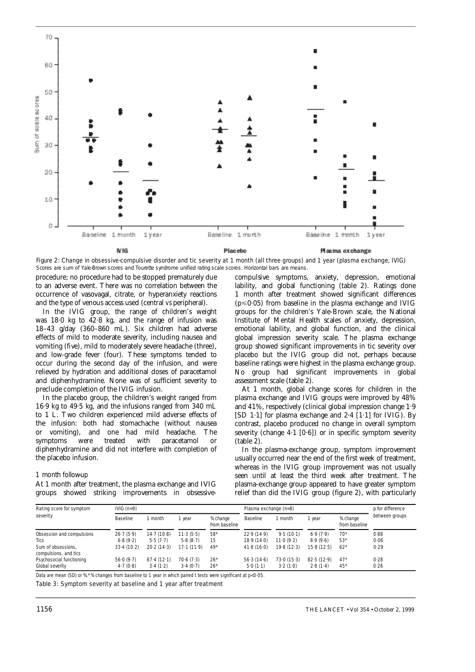



Placebo

### Plasma exchange

Figure 2: Change in obsessive-compulsive disorder and tic severity at 1 month (all three groups) and 1 year (plasma exchange, IVIG) Scores are sum of Yale-Brown scores and Tourette syndrome unified rating scale scores. Horizontal bars are means.

procedure; no procedure had to be stopped prematurely due to an adverse event. There was no correlation between the occurrence of vasovagal, citrate, or hyperanxiety reactions and the type of venous access used (central *vs* peripheral).

In the IVIG group, the range of children's weight was  $18.0$  kg to  $42.8$  kg, and the range of infusion was 1 8 – 4 3 g/day (360–860 mL). Six children had adverse effects of mild to moderate severity, including nausea and vomiting (five), mild to moderately severe headache (three), and low-grade fever (four). These symptoms tended to occur during the second day of the infusion, and were relieved by hydration and additional doses of paracetamol and diphenhydramine. None was of sufficient severity to preclude completion of the IVIG infusion.

In the placebo group, the children's weight ranged from 16·9 kg to 49·5 kg, and the infusions ranged from 340 mL to 1 L. Two children experienced mild adverse effects of the infusion: both had stomachache (without nausea or vomiting), and one had mild headache. The symptoms were treated with paracetamol or diphenhydramine and did not interfere with completion of the placebo infusion.

*1 month follow-up*

At 1 month after treatment, the plasma exchange and IVIG groups showed striking improvements in obsessivecompulsive symptoms, anxiety, depression, emotional lability, and global functioning (table 2). Ratings done 1 month after treatment showed significant differences  $(p \le 0.05)$  from baseline in the plasma exchange and IVIG groups for the children's Yale-Brown scale, the National Institute of Mental Health scales of anxiety, depression, emotional lability, and global function, and the clinical global impression severity scale. The plasma exchange group showed significant improvements in tic severity over placebo but the IVIG group did not, perhaps because baseline ratings were highest in the plasma exchange group. No group had significant improvements in global assessment scale (table 2).

At 1 month, global change scores for children in the plasma exchange and IVIG groups were improved by 48% and 41%, respectively (clinical global impression change 1·9 [SD 1·1] for plasma exchange and 2·4 [1·1] for IVIG). By contrast, placebo produced no change in overall symptom severity (change 4·1 [0·6]) or in specific symptom severity (table 2).

In the plasma-exchange group, symptom improvement usually occurred near the end of the first week of treatment, whereas in the IVIG group improvement was not usually seen until at least the third week after treatment. The plasma-exchange group appeared to have greater symptom relief than did the IVIG group (figure 2), with particularly

| Rating score for symptom<br>severity        | IVIG $(n=9)$ |            |            |                           | Plasma exchange (n=8) |             |            |                           | p for difference |
|---------------------------------------------|--------------|------------|------------|---------------------------|-----------------------|-------------|------------|---------------------------|------------------|
|                                             | Baseline     | month      | year       | % change<br>from baseline | Baseline              | month       | year       | % change<br>from baseline | between groups   |
| Obsession and compulsions                   | 26.7(5.9)    | 14.7(10.8) | 11.3(5.5)  | $58*$                     | 22.9(14.9)            | 9.5(10.1)   | 6.9(7.9)   | $70*$                     | 0.88             |
| <b>Tics</b>                                 | 6.8(9.2)     | 5.5(7.7)   | 5.8(8.7)   | 15                        | 18.9(14.0)            | 11.0(9.2)   | 8.9(9.6)   | $53*$                     | 0.06             |
| Sum of obsessions.<br>compulsions, and tics | 33.4(10.2)   | 20.2(14.3) | 17.1(11.9) | $49*$                     | 41.8(16.0)            | 19.8 (12.3) | 15.8(12.5) | $62*$                     | 0.29             |
| Psychosocial functioning                    | 56.0(9.7)    | 67.4(12.1) | 70.6(7.3)  | $26*$                     | 56.3(14.6)            | 73.0(15.3)  | 82.5(12.9) | $47*$                     | 0.28             |
| Global severity                             | 4.7(0.8)     | 3.4(1.2)   | 3.4(0.7)   | $26*$                     | 5.0(1.1)              | 3.2(1.0)    | 2.8(1.4)   | $45*$                     | 0.26             |

Data are mean (SD) or %.\*% changes from baseline to 1 year in which paired *t* tests were significant at p<0·05.

Table 3: Symptom severity at baseline and 1 year after treatment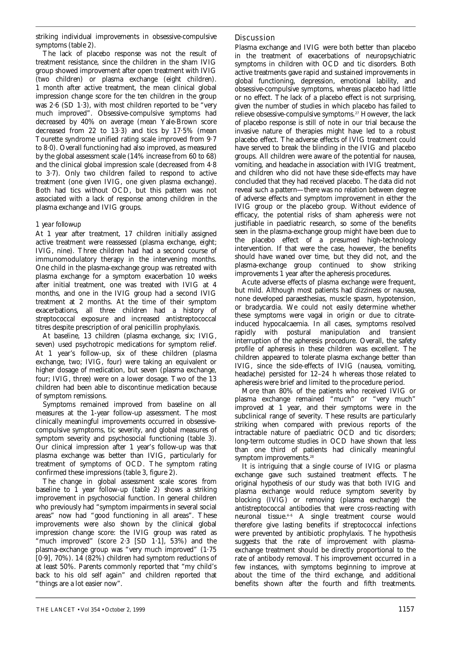striking individual improvements in obsessive-compulsive symptoms (table 2).

The lack of placebo response was not the result of treatment resistance, since the children in the sham IVIG group showed improvement after open treatment with IVIG (two children) or plasma exchange (eight children). 1 month after active treatment, the mean clinical global impression change score for the ten children in the group was 2·6 (SD 1·3), with most children reported to be "very much improved". Obsessive-compulsive symptoms had decreased by 40% on average (mean Yale-Brown score decreased from 22 to 13·3) and tics by 17·5% (mean Tourette syndrome unified rating scale improved from 9·7 to 8·0). Overall functioning had also improved, as measured by the global assessment scale (14% increase from 60 to 68) and the clinical global impression scale (decreased from 4·8 to 3·7). Only two children failed to respond to active treatment (one given IVIG, one given plasma exchange). Both had tics without OCD, but this pattern was not associated with a lack of response among children in the plasma exchange and IVIG groups.

## *1 year follow-up*

At 1 year after treatment, 17 children initially assigned active treatment were reassessed (plasma exchange, eight; IVIG, nine). Three children had had a second course of immunomodulatory therapy in the intervening months. One child in the plasma-exchange group was retreated with plasma exchange for a symptom exacerbation 10 weeks after initial treatment, one was treated with IVIG at 4 months, and one in the IVIG group had a second IVIG treatment at 2 months. At the time of their symptom exacerbations, all three children had a history of streptococcal exposure and increased antistreptococcal titres despite prescription of oral penicillin prophylaxis.

At baseline, 13 children (plasma exchange, six; IVIG, seven) used psychotropic medications for symptom relief. At 1 year's follow-up, six of these children (plasma exchange, two; IVIG, four) were taking an equivalent or higher dosage of medication, but seven (plasma exchange, four; IVIG, three) were on a lower dosage. Two of the 13 children had been able to discontinue medication because of symptom remissions.

Symptoms remained improved from baseline on all measures at the 1-year follow-up assessment. The most clinically meaningful improvements occurred in obsessivecompulsive symptoms, tic severity, and global measures of symptom severity and psychosocial functioning (table 3). Our clinical impression after 1 year's follow-up was that plasma exchange was better than IVIG, particularly for treatment of symptoms of OCD. The symptom rating confirmed these impressions (table 3, figure 2).

The change in global assessment scale scores from baseline to 1 year follow-up (table 2) shows a striking improvement in psychosocial function. In general children who previously had "symptom impairments in several social areas" now had "good functioning in all areas". These improvements were also shown by the clinical global impression change score: the IVIG group was rated as "much improved" (score  $2.3$  [SD  $1.1$ ], 53%) and the plasma-exchange group was "very much improved" (1·75 [0·9], 70%). 14 (82%) children had symptom reductions of at least 50%. Parents commonly reported that "my child's back to his old self again" and children reported that "things are a lot easier now".

## **Discussion**

Plasma exchange and IVIG were both better than placebo in the treatment of exacerbations of neuropsychiatric symptoms in children with OCD and tic disorders. Both active treatments gave rapid and sustained improvements in global functioning, depression, emotional lability, and obsessive-compulsive symptoms, whereas placebo had little or no effect. The lack of a placebo effect is not surprising, given the number of studies in which placebo has failed to relieve obsessive-compulsive symptoms.<sup>27</sup> However, the lack of placebo response is still of note in our trial because the invasive nature of therapies might have led to a robust placebo effect. The adverse effects of IVIG treatment could have served to break the blinding in the IVIG and placebo groups. All children were aware of the potential for nausea, vomiting, and headache in association with IVIG treatment, and children who did not have these side-effects may have concluded that they had received placebo. The data did not reveal such a pattern—there was no relation between degree of adverse effects and symptom improvement in either the IVIG group or the placebo group. Without evidence of efficacy, the potential risks of sham apheresis were not justifiable in paediatric research, so some of the benefits seen in the plasma-exchange group might have been due to the placebo effect of a presumed high-technology intervention. If that were the case, however, the benefits should have waned over time, but they did not, and the plasma-exchange group continued to show striking improvements 1 year after the apheresis procedures.

Acute adverse effects of plasma exchange were frequent, but mild. Although most patients had dizziness or nausea, none developed paraesthesias, muscle spasm, hypotension, or bradycardia. We could not easily determine whether these symptoms were vagal in origin or due to citrateinduced hypocalcaemia. In all cases, symptoms resolved rapidly with postural manipulation and transient interruption of the apheresis procedure. Overall, the safety profile of apheresis in these children was excellent. The children appeared to tolerate plasma exchange better than IVIG, since the side-effects of IVIG (nausea, vomiting, headache) persisted for 12–24 h whereas those related to apheresis were brief and limited to the procedure period.

More than 80% of the patients who received IVIG or plasma exchange remained "much" or "very much" improved at 1 year, and their symptoms were in the subclinical range of severity. These results are particularly striking when compared with previous reports of the intractable nature of paediatric OCD and tic disorders; long-term outcome studies in OCD have shown that less than one third of patients had clinically meaningful symptom improvements.<sup>28</sup>

It is intriguing that a single course of IVIG or plasma exchange gave such sustained treatment effects. The original hypothesis of our study was that both IVIG and plasma exchange would reduce symptom severity by blocking (IVIG) or removing (plasma exchange) the antistreptococcal antibodies that were cross-reacting with neuronal tissue.<sup>4-6</sup> A single treatment course would therefore give lasting benefits if streptococcal infections were prevented by antibiotic prophylaxis. The hypothesis suggests that the rate of improvement with plasmaexchange treatment should be directly proportional to the rate of antibody removal. This improvement occurred in a few instances, with symptoms beginning to improve at about the time of the third exchange, and additional benefits shown after the fourth and fifth treatments.